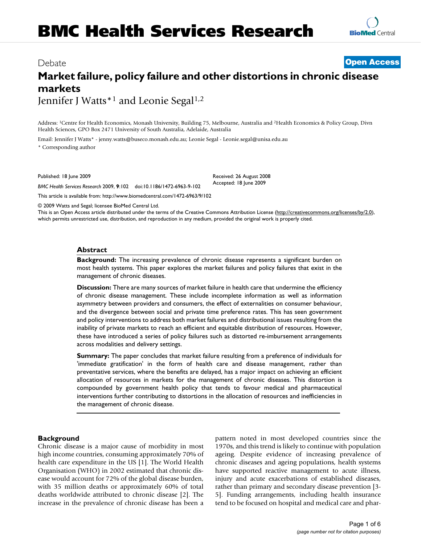# **BMC Health Services Research**

### Debate **[Open Access](http://www.biomedcentral.com/info/about/charter/)**

## **Market failure, policy failure and other distortions in chronic disease markets** Jennifer J Watts\*<sup>1</sup> and Leonie Segal<sup>1,2</sup>

Address: 1Centre for Health Economics, Monash University, Building 75, Melbourne, Australia and 2Health Economics & Policy Group, Divn Health Sciences, GPO Box 2471 University of South Australia, Adelaide, Australia

Email: Jennifer J Watts\* - jenny.watts@buseco.monash.edu.au; Leonie Segal - Leonie.segal@unisa.edu.au

\* Corresponding author

Published: 18 June 2009

*BMC Health Services Research* 2009, **9**:102 doi:10.1186/1472-6963-9-102

[This article is available from: http://www.biomedcentral.com/1472-6963/9/102](http://www.biomedcentral.com/1472-6963/9/102)

© 2009 Watts and Segal; licensee BioMed Central Ltd.

This is an Open Access article distributed under the terms of the Creative Commons Attribution License [\(http://creativecommons.org/licenses/by/2.0\)](http://creativecommons.org/licenses/by/2.0), which permits unrestricted use, distribution, and reproduction in any medium, provided the original work is properly cited.

Received: 26 August 2008 Accepted: 18 June 2009

#### **Abstract**

**Background:** The increasing prevalence of chronic disease represents a significant burden on most health systems. This paper explores the market failures and policy failures that exist in the management of chronic diseases.

**Discussion:** There are many sources of market failure in health care that undermine the efficiency of chronic disease management. These include incomplete information as well as information asymmetry between providers and consumers, the effect of externalities on consumer behaviour, and the divergence between social and private time preference rates. This has seen government and policy interventions to address both market failures and distributional issues resulting from the inability of private markets to reach an efficient and equitable distribution of resources. However, these have introduced a series of policy failures such as distorted re-imbursement arrangements across modalities and delivery settings.

**Summary:** The paper concludes that market failure resulting from a preference of individuals for 'immediate gratification' in the form of health care and disease management, rather than preventative services, where the benefits are delayed, has a major impact on achieving an efficient allocation of resources in markets for the management of chronic diseases. This distortion is compounded by government health policy that tends to favour medical and pharmaceutical interventions further contributing to distortions in the allocation of resources and inefficiencies in the management of chronic disease.

#### **Background**

Chronic disease is a major cause of morbidity in most high income countries, consuming approximately 70% of health care expenditure in the US [1]. The World Health Organisation (WHO) in 2002 estimated that chronic disease would account for 72% of the global disease burden, with 35 million deaths or approximately 60% of total deaths worldwide attributed to chronic disease [2]. The increase in the prevalence of chronic disease has been a

pattern noted in most developed countries since the 1970s, and this trend is likely to continue with population ageing. Despite evidence of increasing prevalence of chronic diseases and ageing populations, health systems have supported reactive management to acute illness, injury and acute exacerbations of established diseases, rather than primary and secondary disease prevention [3- 5]. Funding arrangements, including health insurance tend to be focused on hospital and medical care and phar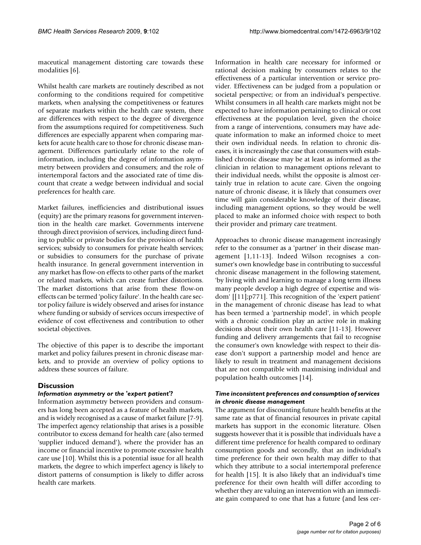maceutical management distorting care towards these modalities [6].

Whilst health care markets are routinely described as not conforming to the conditions required for competitive markets, when analysing the competitiveness or features of separate markets within the health care system, there are differences with respect to the degree of divergence from the assumptions required for competitiveness. Such differences are especially apparent when comparing markets for acute health care to those for chronic disease management. Differences particularly relate to the role of information, including the degree of information asymmetry between providers and consumers; and the role of intertemporal factors and the associated rate of time discount that create a wedge between individual and social preferences for health care.

Market failures, inefficiencies and distributional issues (equity) are the primary reasons for government intervention in the health care market. Governments intervene through direct provision of services, including direct funding to public or private bodies for the provision of health services; subsidy to consumers for private health services; or subsidies to consumers for the purchase of private health insurance. In general government intervention in any market has flow-on effects to other parts of the market or related markets, which can create further distortions. The market distortions that arise from these flow-on effects can be termed 'policy failure'. In the health care sector policy failure is widely observed and arises for instance where funding or subsidy of services occurs irrespective of evidence of cost effectiveness and contribution to other societal objectives.

The objective of this paper is to describe the important market and policy failures present in chronic disease markets, and to provide an overview of policy options to address these sources of failure.

#### **Discussion**

#### *Information asymmetry or the 'expert patient'?*

Information asymmetry between providers and consumers has long been accepted as a feature of health markets, and is widely recognised as a cause of market failure [7-9]. The imperfect agency relationship that arises is a possible contributor to excess demand for health care (also termed 'supplier induced demand'), where the provider has an income or financial incentive to promote excessive health care use [10]. Whilst this is a potential issue for all health markets, the degree to which imperfect agency is likely to distort patterns of consumption is likely to differ across health care markets.

Information in health care necessary for informed or rational decision making by consumers relates to the effectiveness of a particular intervention or service provider. Effectiveness can be judged from a population or societal perspective; or from an individual's perspective. Whilst consumers in all health care markets might not be expected to have information pertaining to clinical or cost effectiveness at the population level, given the choice from a range of interventions, consumers may have adequate information to make an informed choice to meet their own individual needs. In relation to chronic diseases, it is increasingly the case that consumers with established chronic disease may be at least as informed as the clinician in relation to management options relevant to their individual needs, whilst the opposite is almost certainly true in relation to acute care. Given the ongoing nature of chronic disease, it is likely that consumers over time will gain considerable knowledge of their disease, including management options, so they would be well placed to make an informed choice with respect to both their provider and primary care treatment.

Approaches to chronic disease management increasingly refer to the consumer as a 'partner' in their disease management [1,11-13]. Indeed Wilson recognises a consumer's own knowledge base in contributing to successful chronic disease management in the following statement, 'by living with and learning to manage a long term illness many people develop a high degree of expertise and wisdom' [[11];p771]. This recognition of the 'expert patient' in the management of chronic disease has lead to what has been termed a 'partnership model', in which people with a chronic condition play an active role in making decisions about their own health care [11-13]. However funding and delivery arrangements that fail to recognise the consumer's own knowledge with respect to their disease don't support a partnership model and hence are likely to result in treatment and management decisions that are not compatible with maximising individual and population health outcomes [14].

#### *Time inconsistent preferences and consumption of services in chronic disease management*

The argument for discounting future health benefits at the same rate as that of financial resources in private capital markets has support in the economic literature. Olsen suggests however that it is possible that individuals have a different time preference for health compared to ordinary consumption goods and secondly, that an individual's time preference for their own health may differ to that which they attribute to a social intertemporal preference for health [15]. It is also likely that an individual's time preference for their own health will differ according to whether they are valuing an intervention with an immediate gain compared to one that has a future (and less cer-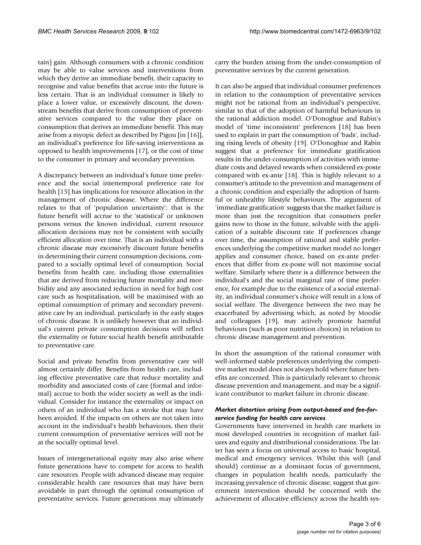tain) gain. Although consumers with a chronic condition may be able to value services and interventions from which they derive an immediate benefit, their capacity to recognise and value benefits that accrue into the future is less certain. That is an individual consumer is likely to place a lower value, or excessively discount, the downstream benefits that derive from consumption of preventative services compared to the value they place on consumption that derives an immediate benefit. This may arise from a myopic defect as described by Pigou [in [16]], an individual's preference for life-saving interventions as opposed to health improvements [17], or the cost of time to the consumer in primary and secondary prevention.

A discrepancy between an individual's future time preference and the social intertemporal preference rate for health [15] has implications for resource allocation in the management of chronic disease. Where the difference relates to that of 'population uncertainty'; that is the future benefit will accrue to the 'statistical' or unknown persons versus the known individual, current resource allocation decisions may not be consistent with socially efficient allocation over time. That is an individual with a chronic disease may excessively discount future benefits in determining their current consumption decisions, compared to a socially optimal level of consumption. Social benefits from health care, including those externalities that are derived from reducing future mortality and morbidity and any associated reduction in need for high cost care such as hospitalisation, will be maximised with an optimal consumption of primary and secondary preventative care by an individual, particularly in the early stages of chronic disease. It is unlikely however that an individual's current private consumption decisions will reflect the externality or future social health benefit attributable to preventative care.

Social and private benefits from preventative care will almost certainly differ. Benefits from health care, including effective preventative care that reduce mortality and morbidity and associated costs of care (formal and informal) accrue to both the wider society as well as the individual. Consider for instance the externality or impact on others of an individual who has a stroke that may have been avoided. If the impacts on others are not taken into account in the individual's health behaviours, then their current consumption of preventative services will not be at the socially optimal level.

Issues of intergenerational equity may also arise where future generations have to compete for access to health care resources. People with advanced disease may require considerable health care resources that may have been avoidable in part through the optimal consumption of preventative services. Future generations may ultimately carry the burden arising from the under-consumption of preventative services by the current generation.

It can also be argued that individual consumer preferences in relation to the consumption of preventative services might not be rational from an individual's perspective, similar to that of the adoption of harmful behaviours in the rational addiction model. O'Donoghue and Rabin's model of 'time inconsistent' preferences [18] has been used to explain in part the consumption of 'bads', including rising levels of obesity [19]. O'Donoghue and Rabin suggest that a preference for immediate gratification results in the under-consumption of activities with immediate costs and delayed rewards when considered ex-poste compared with ex-ante [18]. This is highly relevant to a consumer's attitude to the prevention and management of a chronic condition and especially the adoption of harmful or unhealthy lifestyle behaviours. The argument of 'immediate gratification' suggests that the market failure is more than just the recognition that consumers prefer gains now to those in the future, solvable with the application of a suitable discount rate. If preferences change over time, the assumption of rational and stable preferences underlying the competitive market model no longer applies and consumer choice, based on ex-ante preferences that differ from ex-poste will not maximise social welfare. Similarly where there is a difference between the individual's and the social marginal rate of time preference, for example due to the existence of a social externality, an individual consumer's choice will result in a loss of social welfare. The divergence between the two may be exacerbated by advertising which, as noted by Moodie and colleagues [19], may actively promote harmful behaviours (such as poor nutrition choices) in relation to chronic disease management and prevention.

In short the assumption of the rational consumer with well-informed stable preferences underlying the competitive market model does not always hold where future benefits are concerned. This is particularly relevant to chronic disease prevention and management, and may be a significant contributor to market failure in chronic disease.

#### *Market distortion arising from output-based and fee-forservice funding for health care services*

Governments have intervened in health care markets in most developed countries in recognition of market failures and equity and distributional considerations. The latter has seen a focus on universal access to basic hospital, medical and emergency services. Whilst this will (and should) continue as a dominant focus of government, changes in population health needs, particularly the increasing prevalence of chronic disease, suggest that government intervention should be concerned with the achievement of allocative efficiency across the health sys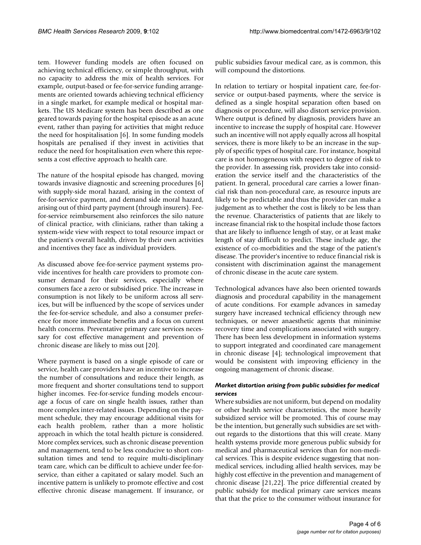tem. However funding models are often focused on achieving technical efficiency, or simple throughput, with no capacity to address the mix of health services. For example, output-based or fee-for-service funding arrangements are oriented towards achieving technical efficiency in a single market, for example medical or hospital markets. The US Medicare system has been described as one geared towards paying for the hospital episode as an acute event, rather than paying for activities that might reduce the need for hospitalisation [6]. In some funding models hospitals are penalised if they invest in activities that reduce the need for hospitalisation even where this represents a cost effective approach to health care.

The nature of the hospital episode has changed, moving towards invasive diagnostic and screening procedures [6] with supply-side moral hazard, arising in the context of fee-for-service payment, and demand side moral hazard, arising out of third party payment (through insurers). Feefor-service reimbursement also reinforces the silo nature of clinical practice, with clinicians, rather than taking a system-wide view with respect to total resource impact or the patient's overall health, driven by their own activities and incentives they face as individual providers.

As discussed above fee-for-service payment systems provide incentives for health care providers to promote consumer demand for their services, especially where consumers face a zero or subsidised price. The increase in consumption is not likely to be uniform across all services, but will be influenced by the scope of services under the fee-for-service schedule, and also a consumer preference for more immediate benefits and a focus on current health concerns. Preventative primary care services necessary for cost effective management and prevention of chronic disease are likely to miss out [20].

Where payment is based on a single episode of care or service, health care providers have an incentive to increase the number of consultations and reduce their length, as more frequent and shorter consultations tend to support higher incomes. Fee-for-service funding models encourage a focus of care on single health issues, rather than more complex inter-related issues. Depending on the payment schedule, they may encourage additional visits for each health problem, rather than a more holistic approach in which the total health picture is considered. More complex services, such as chronic disease prevention and management, tend to be less conducive to short consultation times and tend to require multi-disciplinary team care, which can be difficult to achieve under fee-forservice, than either a capitated or salary model. Such an incentive pattern is unlikely to promote effective and cost effective chronic disease management. If insurance, or public subsidies favour medical care, as is common, this will compound the distortions.

In relation to tertiary or hospital inpatient care, fee-forservice or output-based payments, where the service is defined as a single hospital separation often based on diagnosis or procedure, will also distort service provision. Where output is defined by diagnosis, providers have an incentive to increase the supply of hospital care. However such an incentive will not apply equally across all hospital services, there is more likely to be an increase in the supply of specific types of hospital care. For instance, hospital care is not homogeneous with respect to degree of risk to the provider. In assessing risk, providers take into consideration the service itself and the characteristics of the patient. In general, procedural care carries a lower financial risk than non-procedural care, as resource inputs are likely to be predictable and thus the provider can make a judgement as to whether the cost is likely to be less than the revenue. Characteristics of patients that are likely to increase financial risk to the hospital include those factors that are likely to influence length of stay, or at least make length of stay difficult to predict. These include age, the existence of co-morbidities and the stage of the patient's disease. The provider's incentive to reduce financial risk is consistent with discrimination against the management of chronic disease in the acute care system.

Technological advances have also been oriented towards diagnosis and procedural capability in the management of acute conditions. For example advances in sameday surgery have increased technical efficiency through new techniques, or newer anaesthetic agents that minimise recovery time and complications associated with surgery. There has been less development in information systems to support integrated and coordinated care management in chronic disease [4]; technological improvement that would be consistent with improving efficiency in the ongoing management of chronic disease.

#### *Market distortion arising from public subsidies for medical services*

Where subsidies are not uniform, but depend on modality or other health service characteristics, the more heavily subsidized service will be promoted. This of course may be the intention, but generally such subsidies are set without regards to the distortions that this will create. Many health systems provide more generous public subsidy for medical and pharmaceutical services than for non-medical services. This is despite evidence suggesting that nonmedical services, including allied health services, may be highly cost effective in the prevention and management of chronic disease [21,22]. The price differential created by public subsidy for medical primary care services means that that the price to the consumer without insurance for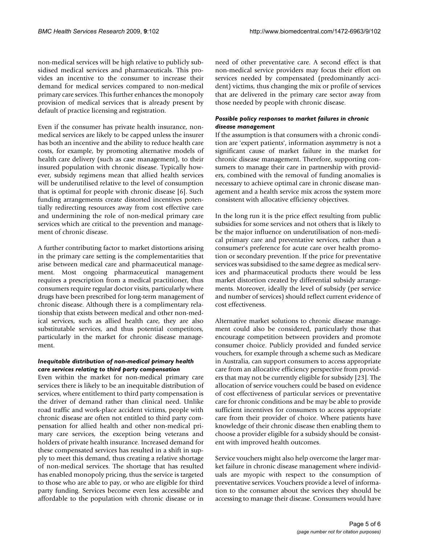non-medical services will be high relative to publicly subsidised medical services and pharmaceuticals. This provides an incentive to the consumer to increase their demand for medical services compared to non-medical primary care services. This further enhances the monopoly provision of medical services that is already present by default of practice licensing and registration.

Even if the consumer has private health insurance, nonmedical services are likely to be capped unless the insurer has both an incentive and the ability to reduce health care costs, for example, by promoting alternative models of health care delivery (such as case management), to their insured population with chronic disease. Typically however, subsidy regimens mean that allied health services will be underutilised relative to the level of consumption that is optimal for people with chronic disease [6]. Such funding arrangements create distorted incentives potentially redirecting resources away from cost effective care and undermining the role of non-medical primary care services which are critical to the prevention and management of chronic disease.

A further contributing factor to market distortions arising in the primary care setting is the complementarities that arise between medical care and pharmaceutical management. Most ongoing pharmaceutical management requires a prescription from a medical practitioner, thus consumers require regular doctor visits, particularly where drugs have been prescribed for long-term management of chronic disease. Although there is a complimentary relationship that exists between medical and other non-medical services, such as allied health care, they are also substitutable services, and thus potential competitors, particularly in the market for chronic disease management.

#### *Inequitable distribution of non-medical primary health care services relating to third party compensation*

Even within the market for non-medical primary care services there is likely to be an inequitable distribution of services, where entitlement to third party compensation is the driver of demand rather than clinical need. Unlike road traffic and work-place accident victims, people with chronic disease are often not entitled to third party compensation for allied health and other non-medical primary care services, the exception being veterans and holders of private health insurance. Increased demand for these compensated services has resulted in a shift in supply to meet this demand, thus creating a relative shortage of non-medical services. The shortage that has resulted has enabled monopoly pricing, thus the service is targeted to those who are able to pay, or who are eligible for third party funding. Services become even less accessible and affordable to the population with chronic disease or in

need of other preventative care. A second effect is that non-medical service providers may focus their effort on services needed by compensated (predominantly accident) victims, thus changing the mix or profile of services that are delivered in the primary care sector away from those needed by people with chronic disease.

#### *Possible policy responses to market failures in chronic disease management*

If the assumption is that consumers with a chronic condition are 'expert patients', information asymmetry is not a significant cause of market failure in the market for chronic disease management. Therefore, supporting consumers to manage their care in partnership with providers, combined with the removal of funding anomalies is necessary to achieve optimal care in chronic disease management and a health service mix across the system more consistent with allocative efficiency objectives.

In the long run it is the price effect resulting from public subsidies for some services and not others that is likely to be the major influence on underutilisation of non-medical primary care and preventative services, rather than a consumer's preference for acute care over health promotion or secondary prevention. If the price for preventative services was subsidised to the same degree as medical services and pharmaceutical products there would be less market distortion created by differential subsidy arrangements. Moreover, ideally the level of subsidy (per service and number of services) should reflect current evidence of cost effectiveness.

Alternative market solutions to chronic disease management could also be considered, particularly those that encourage competition between providers and promote consumer choice. Publicly provided and funded service vouchers, for example through a scheme such as Medicare in Australia, can support consumers to access appropriate care from an allocative efficiency perspective from providers that may not be currently eligible for subsidy [23]. The allocation of service vouchers could be based on evidence of cost effectiveness of particular services or preventative care for chronic conditions and be may be able to provide sufficient incentives for consumers to access appropriate care from their provider of choice. Where patients have knowledge of their chronic disease then enabling them to choose a provider eligible for a subsidy should be consistent with improved health outcomes.

Service vouchers might also help overcome the larger market failure in chronic disease management where individuals are myopic with respect to the consumption of preventative services. Vouchers provide a level of information to the consumer about the services they should be accessing to manage their disease. Consumers would have